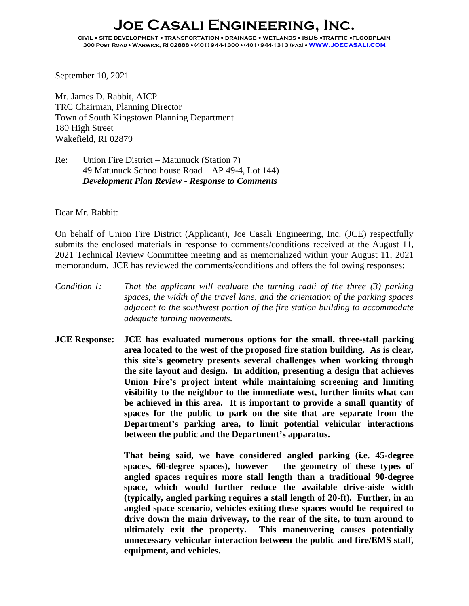September 10, 2021

Mr. James D. Rabbit, AICP TRC Chairman, Planning Director Town of South Kingstown Planning Department 180 High Street Wakefield, RI 02879

## Re: Union Fire District – Matunuck (Station 7) 49 Matunuck Schoolhouse Road – AP 49-4, Lot 144) *Development Plan Review - Response to Comments*

Dear Mr. Rabbit:

On behalf of Union Fire District (Applicant), Joe Casali Engineering, Inc. (JCE) respectfully submits the enclosed materials in response to comments/conditions received at the August 11, 2021 Technical Review Committee meeting and as memorialized within your August 11, 2021 memorandum. JCE has reviewed the comments/conditions and offers the following responses:

- *Condition 1: That the applicant will evaluate the turning radii of the three (3) parking spaces, the width of the travel lane, and the orientation of the parking spaces adjacent to the southwest portion of the fire station building to accommodate adequate turning movements.*
- **JCE Response: JCE has evaluated numerous options for the small, three-stall parking area located to the west of the proposed fire station building. As is clear, this site's geometry presents several challenges when working through the site layout and design. In addition, presenting a design that achieves Union Fire's project intent while maintaining screening and limiting visibility to the neighbor to the immediate west, further limits what can be achieved in this area. It is important to provide a small quantity of spaces for the public to park on the site that are separate from the Department's parking area, to limit potential vehicular interactions between the public and the Department's apparatus.**

**That being said, we have considered angled parking (i.e. 45-degree spaces, 60-degree spaces), however – the geometry of these types of angled spaces requires more stall length than a traditional 90-degree space, which would further reduce the available drive-aisle width (typically, angled parking requires a stall length of 20-ft). Further, in an angled space scenario, vehicles exiting these spaces would be required to drive down the main driveway, to the rear of the site, to turn around to ultimately exit the property. This maneuvering causes potentially unnecessary vehicular interaction between the public and fire/EMS staff, equipment, and vehicles.**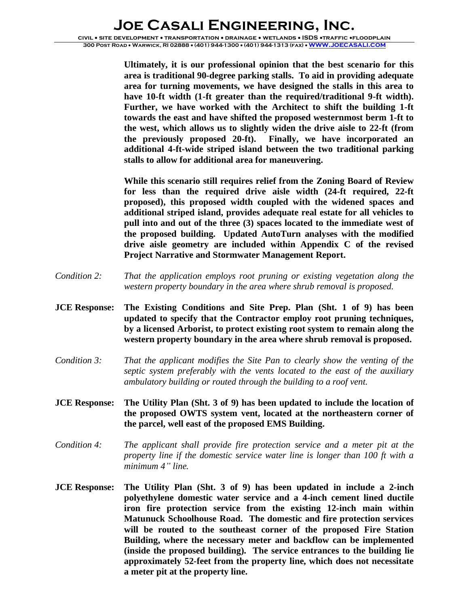**Ultimately, it is our professional opinion that the best scenario for this area is traditional 90-degree parking stalls. To aid in providing adequate area for turning movements, we have designed the stalls in this area to have 10-ft width (1-ft greater than the required/traditional 9-ft width). Further, we have worked with the Architect to shift the building 1-ft towards the east and have shifted the proposed westernmost berm 1-ft to the west, which allows us to slightly widen the drive aisle to 22-ft (from the previously proposed 20-ft). Finally, we have incorporated an additional 4-ft-wide striped island between the two traditional parking stalls to allow for additional area for maneuvering.** 

**While this scenario still requires relief from the Zoning Board of Review for less than the required drive aisle width (24-ft required, 22-ft proposed), this proposed width coupled with the widened spaces and additional striped island, provides adequate real estate for all vehicles to pull into and out of the three (3) spaces located to the immediate west of the proposed building. Updated AutoTurn analyses with the modified drive aisle geometry are included within Appendix C of the revised Project Narrative and Stormwater Management Report.** 

- *Condition 2: That the application employs root pruning or existing vegetation along the western property boundary in the area where shrub removal is proposed.*
- **JCE Response: The Existing Conditions and Site Prep. Plan (Sht. 1 of 9) has been updated to specify that the Contractor employ root pruning techniques, by a licensed Arborist, to protect existing root system to remain along the western property boundary in the area where shrub removal is proposed.**
- *Condition 3: That the applicant modifies the Site Pan to clearly show the venting of the septic system preferably with the vents located to the east of the auxiliary ambulatory building or routed through the building to a roof vent.*
- **JCE Response: The Utility Plan (Sht. 3 of 9) has been updated to include the location of the proposed OWTS system vent, located at the northeastern corner of the parcel, well east of the proposed EMS Building.**
- *Condition 4: The applicant shall provide fire protection service and a meter pit at the property line if the domestic service water line is longer than 100 ft with a minimum 4" line.*
- **JCE Response: The Utility Plan (Sht. 3 of 9) has been updated in include a 2-inch polyethylene domestic water service and a 4-inch cement lined ductile iron fire protection service from the existing 12-inch main within Matunuck Schoolhouse Road. The domestic and fire protection services will be routed to the southeast corner of the proposed Fire Station Building, where the necessary meter and backflow can be implemented (inside the proposed building). The service entrances to the building lie approximately 52-feet from the property line, which does not necessitate a meter pit at the property line.**